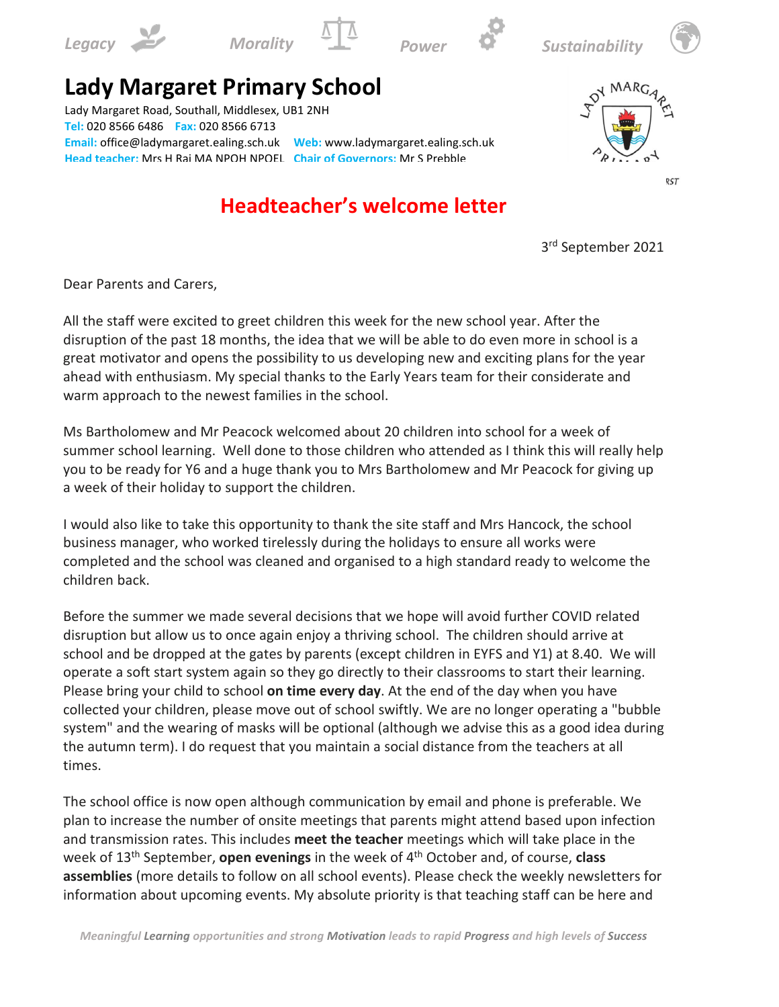









## **Lady Margaret Primary School**

Lady Margaret Road, Southall, Middlesex, UB1 2NH **Tel:** 020 8566 6486 **Fax:** 020 8566 6713 **Email:** office@ladymargaret.ealing.sch.uk **Web:** www.ladymargaret.ealing.sch.uk **Head teacher:** Mrs H Rai MA NPQH NPQEL **Chair of Governors:** Mr S Prebble

## **School Business Manager:** Mrs A Hancock **Headteacher's welcome letter**



**RST** 

3 rd September 2021

Dear Parents and Carers,

All the staff were excited to greet children this week for the new school year. After the disruption of the past 18 months, the idea that we will be able to do even more in school is a great motivator and opens the possibility to us developing new and exciting plans for the year ahead with enthusiasm. My special thanks to the Early Years team for their considerate and warm approach to the newest families in the school.

Ms Bartholomew and Mr Peacock welcomed about 20 children into school for a week of summer school learning. Well done to those children who attended as I think this will really help you to be ready for Y6 and a huge thank you to Mrs Bartholomew and Mr Peacock for giving up a week of their holiday to support the children.

I would also like to take this opportunity to thank the site staff and Mrs Hancock, the school business manager, who worked tirelessly during the holidays to ensure all works were completed and the school was cleaned and organised to a high standard ready to welcome the children back.

Before the summer we made several decisions that we hope will avoid further COVID related disruption but allow us to once again enjoy a thriving school. The children should arrive at school and be dropped at the gates by parents (except children in EYFS and Y1) at 8.40. We will operate a soft start system again so they go directly to their classrooms to start their learning. Please bring your child to school **on time every day**. At the end of the day when you have collected your children, please move out of school swiftly. We are no longer operating a "bubble system" and the wearing of masks will be optional (although we advise this as a good idea during the autumn term). I do request that you maintain a social distance from the teachers at all times.

The school office is now open although communication by email and phone is preferable. We plan to increase the number of onsite meetings that parents might attend based upon infection and transmission rates. This includes **meet the teacher** meetings which will take place in the week of 13th September, **open evenings** in the week of 4 th October and, of course, **class assemblies** (more details to follow on all school events). Please check the weekly newsletters for information about upcoming events. My absolute priority is that teaching staff can be here and